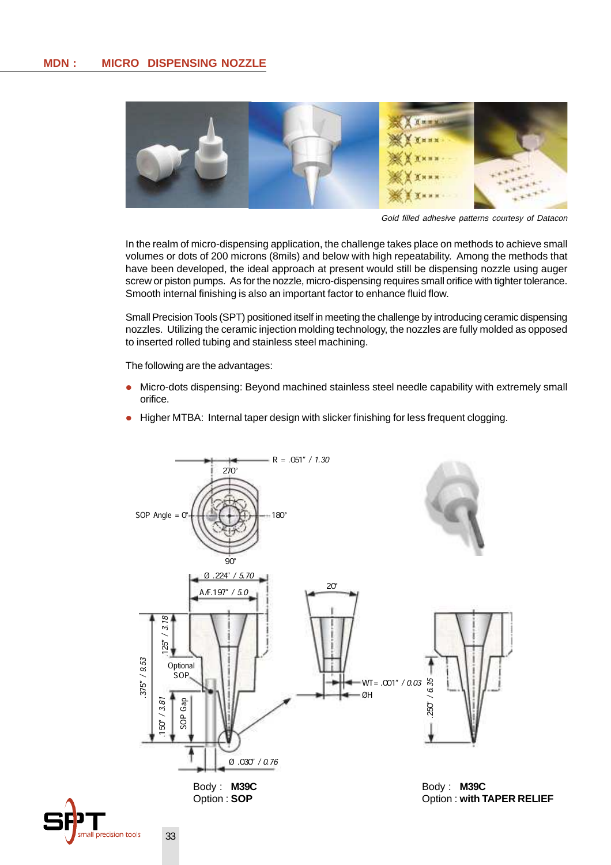

Gold filled adhesive patterns courtesy of Datacon

In the realm of micro-dispensing application, the challenge takes place on methods to achieve small volumes or dots of 200 microns (8mils) and below with high repeatability. Among the methods that have been developed, the ideal approach at present would still be dispensing nozzle using auger screw or piston pumps. As for the nozzle, micro-dispensing requires small orifice with tighter tolerance. Smooth internal finishing is also an important factor to enhance fluid flow.

Small Precision Tools (SPT) positioned itself in meeting the challenge by introducing ceramic dispensing nozzles. Utilizing the ceramic injection molding technology, the nozzles are fully molded as opposed to inserted rolled tubing and stainless steel machining.

The following are the advantages:

- Micro-dots dispensing: Beyond machined stainless steel needle capability with extremely small orifice.
- Higher MTBA: Internal taper design with slicker finishing for less frequent clogging.